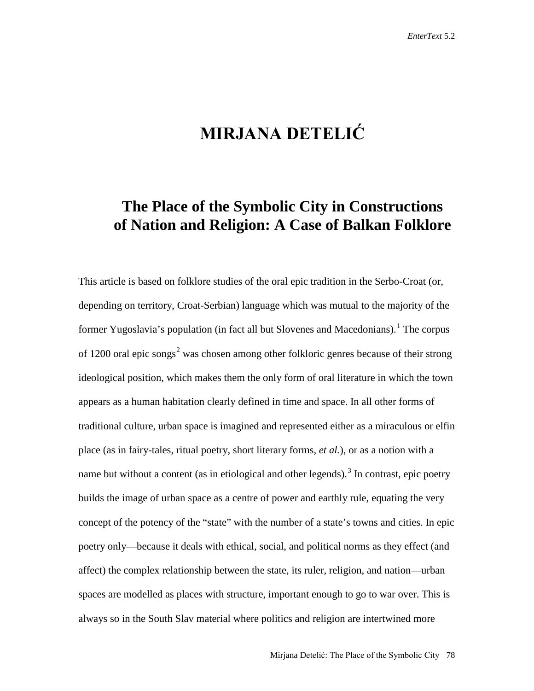## **MIRJANA DETELIĆ**

## **The Place of the Symbolic City in Constructions of Nation and Religion: A Case of Balkan Folklore**

This article is based on folklore studies of the oral epic tradition in the Serbo-Croat (or, depending on territory, Croat-Serbian) language which was mutual to the majority of the former Yugoslavia's population (in fact all but Slovenes and Macedonians).<sup>[1](#page-10-0)</sup> The corpus of 1[2](#page-10-1)00 oral epic songs<sup>2</sup> was chosen among other folkloric genres because of their strong ideological position, which makes them the only form of oral literature in which the town appears as a human habitation clearly defined in time and space. In all other forms of traditional culture, urban space is imagined and represented either as a miraculous or elfin place (as in fairy-tales, ritual poetry, short literary forms, *et al.*), or as a notion with a name but without a content (as in etiological and other legends).<sup>[3](#page-10-2)</sup> In contrast, epic poetry builds the image of urban space as a centre of power and earthly rule, equating the very concept of the potency of the "state" with the number of a state's towns and cities. In epic poetry only—because it deals with ethical, social, and political norms as they effect (and affect) the complex relationship between the state, its ruler, religion, and nation—urban spaces are modelled as places with structure, important enough to go to war over. This is always so in the South Slav material where politics and religion are intertwined more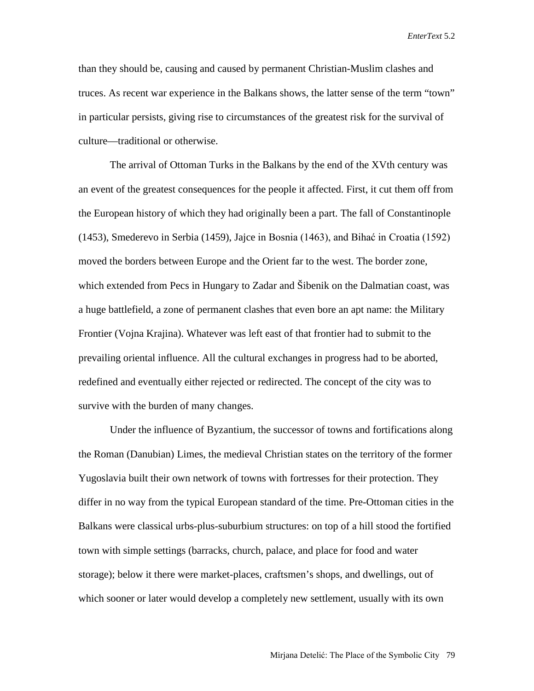than they should be, causing and caused by permanent Christian-Muslim clashes and truces. As recent war experience in the Balkans shows, the latter sense of the term "town" in particular persists, giving rise to circumstances of the greatest risk for the survival of culture—traditional or otherwise.

The arrival of Ottoman Turks in the Balkans by the end of the XVth century was an event of the greatest consequences for the people it affected. First, it cut them off from the European history of which they had originally been a part. The fall of Constantinople (1453), Smederevo in Serbia (1459), Jajce in Bosnia (1463), and Bihać in Croatia (1592) moved the borders between Europe and the Orient far to the west. The border zone, which extended from Pecs in Hungary to Zadar and Šibenik on the Dalmatian coast, was a huge battlefield, a zone of permanent clashes that even bore an apt name: the Military Frontier (Vojna Krajina). Whatever was left east of that frontier had to submit to the prevailing oriental influence. All the cultural exchanges in progress had to be aborted, redefined and eventually either rejected or redirected. The concept of the city was to survive with the burden of many changes.

Under the influence of Byzantium, the successor of towns and fortifications along the Roman (Danubian) Limes, the medieval Christian states on the territory of the former Yugoslavia built their own network of towns with fortresses for their protection. They differ in no way from the typical European standard of the time. Pre-Ottoman cities in the Balkans were classical urbs-plus-suburbium structures: on top of a hill stood the fortified town with simple settings (barracks, church, palace, and place for food and water storage); below it there were market-places, craftsmen's shops, and dwellings, out of which sooner or later would develop a completely new settlement, usually with its own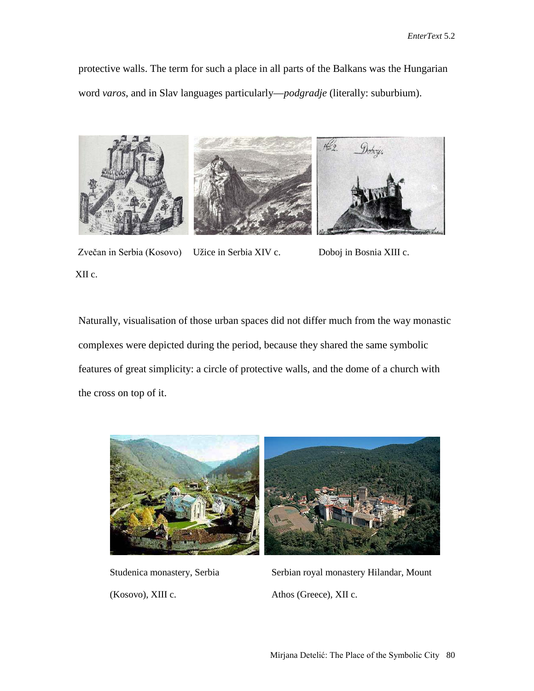protective walls. The term for such a place in all parts of the Balkans was the Hungarian word *varos*, and in Slav languages particularly—*podgradje* (literally: suburbium).



Zvečan in Serbia (Kosovo) Užice in Serbia XIV c. XII c. Doboj in Bosnia XIII c.

Naturally, visualisation of those urban spaces did not differ much from the way monastic complexes were depicted during the period, because they shared the same symbolic features of great simplicity: a circle of protective walls, and the dome of a church with the cross on top of it.



Studenica monastery, Serbia (Kosovo), XIII c.

Serbian royal monastery Hilandar, Mount Athos (Greece), XII c.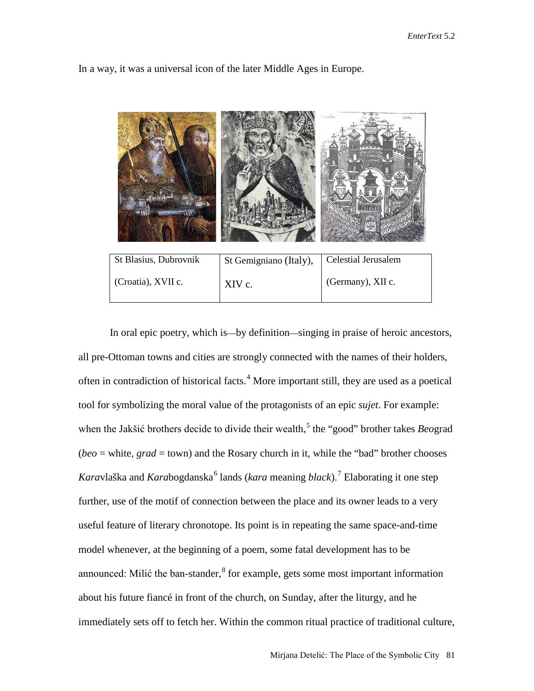|                       |                        | Hierusalem<br>celeths |
|-----------------------|------------------------|-----------------------|
| St Blasius, Dubrovnik | St Gemigniano (Italy), | Celestial Jerusalem   |
| (Croatia), XVII c.    | XIV c.                 | (Germany), XII c.     |

In a way, it was a universal icon of the later Middle Ages in Europe.

In oral epic poetry, which is—by definition—singing in praise of heroic ancestors, all pre-Ottoman towns and cities are strongly connected with the names of their holders, often in contradiction of historical facts.<sup>[4](#page-11-0)</sup> More important still, they are used as a poetical tool for symbolizing the moral value of the protagonists of an epic *sujet*. For example: when the Jakšić brothers decide to divide their wealth,<sup>[5](#page-11-1)</sup> the "good" brother takes *Beograd*  $(beo = white, grad = town)$  and the Rosary church in it, while the "bad" brother chooses *Karavlaška and Karabogdanska*<sup>[6](#page-11-2)</sup> lands (*kara* meaning *black*).<sup>[7](#page-11-3)</sup> Elaborating it one step further, use of the motif of connection between the place and its owner leads to a very useful feature of literary chronotope. Its point is in repeating the same space-and-time model whenever, at the beginning of a poem, some fatal development has to be announced: Milić the ban-stander, <sup>[8](#page-11-4)</sup> for example, gets some most important information about his future fiancé in front of the church, on Sunday, after the liturgy, and he immediately sets off to fetch her. Within the common ritual practice of traditional culture,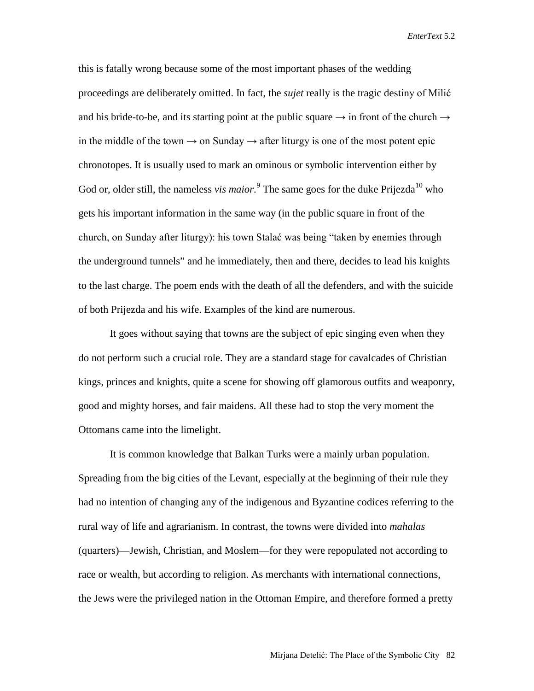this is fatally wrong because some of the most important phases of the wedding proceedings are deliberately omitted. In fact, the *sujet* really is the tragic destiny of Milić and his bride-to-be, and its starting point at the public square  $\rightarrow$  in front of the church  $\rightarrow$ in the middle of the town  $\rightarrow$  on Sunday  $\rightarrow$  after liturgy is one of the most potent epic chronotopes. It is usually used to mark an ominous or symbolic intervention either by God or, older still, the nameless *vis maior*.<sup>[9](#page-11-5)</sup> The same goes for the duke Prijezda<sup>[10](#page-11-6)</sup> who gets his important information in the same way (in the public square in front of the church, on Sunday after liturgy): his town Stalać was being "taken by enemies through the underground tunnels" and he immediately, then and there, decides to lead his knights to the last charge. The poem ends with the death of all the defenders, and with the suicide of both Prijezda and his wife. Examples of the kind are numerous.

It goes without saying that towns are the subject of epic singing even when they do not perform such a crucial role. They are a standard stage for cavalcades of Christian kings, princes and knights, quite a scene for showing off glamorous outfits and weaponry, good and mighty horses, and fair maidens. All these had to stop the very moment the Ottomans came into the limelight.

It is common knowledge that Balkan Turks were a mainly urban population. Spreading from the big cities of the Levant, especially at the beginning of their rule they had no intention of changing any of the indigenous and Byzantine codices referring to the rural way of life and agrarianism. In contrast, the towns were divided into *mahalas* (quarters)—Jewish, Christian, and Moslem—for they were repopulated not according to race or wealth, but according to religion. As merchants with international connections, the Jews were the privileged nation in the Ottoman Empire, and therefore formed a pretty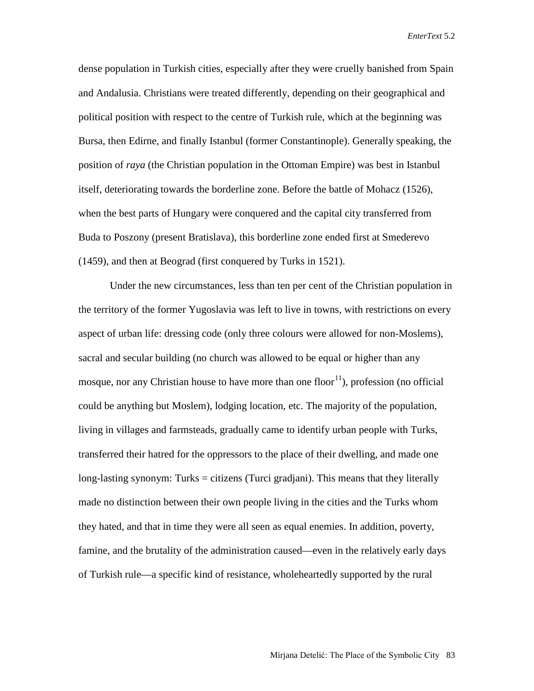dense population in Turkish cities, especially after they were cruelly banished from Spain and Andalusia. Christians were treated differently, depending on their geographical and political position with respect to the centre of Turkish rule, which at the beginning was Bursa, then Edirne, and finally Istanbul (former Constantinople). Generally speaking, the position of *raya* (the Christian population in the Ottoman Empire) was best in Istanbul itself, deteriorating towards the borderline zone. Before the battle of Mohacz (1526), when the best parts of Hungary were conquered and the capital city transferred from Buda to Poszony (present Bratislava), this borderline zone ended first at Smederevo (1459), and then at Beograd (first conquered by Turks in 1521).

Under the new circumstances, less than ten per cent of the Christian population in the territory of the former Yugoslavia was left to live in towns, with restrictions on every aspect of urban life: dressing code (only three colours were allowed for non-Moslems), sacral and secular building (no church was allowed to be equal or higher than any mosque, nor any Christian house to have more than one floor $11$ ), profession (no official could be anything but Moslem), lodging location, etc. The majority of the population, living in villages and farmsteads, gradually came to identify urban people with Turks, transferred their hatred for the oppressors to the place of their dwelling, and made one long-lasting synonym: Turks = citizens (Turci gradjani). This means that they literally made no distinction between their own people living in the cities and the Turks whom they hated, and that in time they were all seen as equal enemies. In addition, poverty, famine, and the brutality of the administration caused—even in the relatively early days of Turkish rule—a specific kind of resistance, wholeheartedly supported by the rural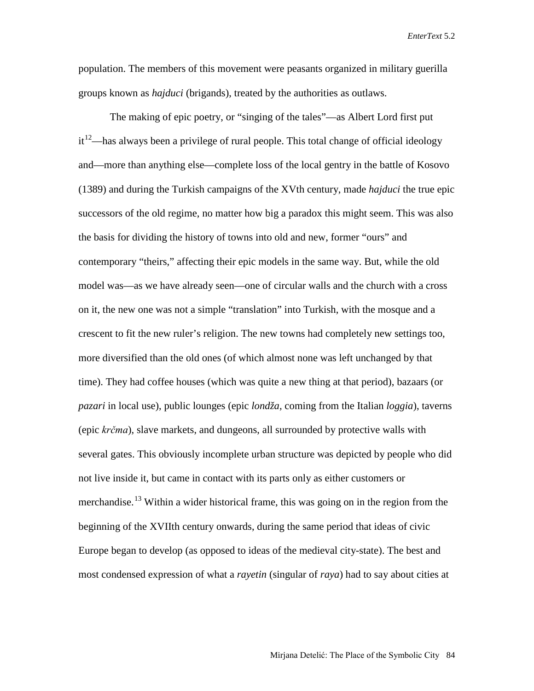population. The members of this movement were peasants organized in military guerilla groups known as *hajduci* (brigands), treated by the authorities as outlaws.

The making of epic poetry, or "singing of the tales"—as Albert Lord first put  $it<sup>12</sup>$  $it<sup>12</sup>$  $it<sup>12</sup>$ —has always been a privilege of rural people. This total change of official ideology and—more than anything else—complete loss of the local gentry in the battle of Kosovo (1389) and during the Turkish campaigns of the XVth century, made *hajduci* the true epic successors of the old regime, no matter how big a paradox this might seem. This was also the basis for dividing the history of towns into old and new, former "ours" and contemporary "theirs," affecting their epic models in the same way. But, while the old model was—as we have already seen—one of circular walls and the church with a cross on it, the new one was not a simple "translation" into Turkish, with the mosque and a crescent to fit the new ruler's religion. The new towns had completely new settings too, more diversified than the old ones (of which almost none was left unchanged by that time). They had coffee houses (which was quite a new thing at that period), bazaars (or *pazari* in local use), public lounges (epic *londža,* coming from the Italian *loggia*), taverns (epic *krčma*), slave markets, and dungeons, all surrounded by protective walls with several gates. This obviously incomplete urban structure was depicted by people who did not live inside it, but came in contact with its parts only as either customers or merchandise.<sup>[13](#page-11-9)</sup> Within a wider historical frame, this was going on in the region from the beginning of the XVIIth century onwards, during the same period that ideas of civic Europe began to develop (as opposed to ideas of the medieval city-state). The best and most condensed expression of what a *rayetin* (singular of *raya*) had to say about cities at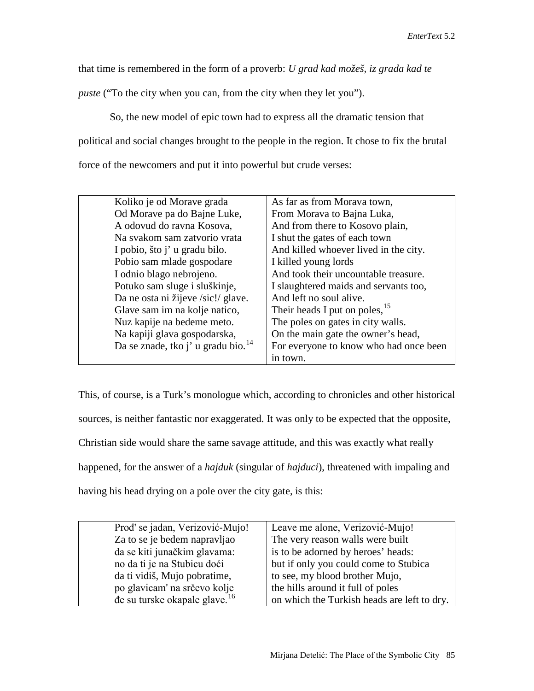that time is remembered in the form of a proverb: *U grad kad možeš, iz grada kad te* 

*puste* ("To the city when you can, from the city when they let you").

So, the new model of epic town had to express all the dramatic tension that political and social changes brought to the people in the region. It chose to fix the brutal force of the newcomers and put it into powerful but crude verses:

| Koliko je od Morave grada                | As far as from Morava town,            |
|------------------------------------------|----------------------------------------|
| Od Morave pa do Bajne Luke,              | From Morava to Bajna Luka,             |
| A odovud do ravna Kosova,                | And from there to Kosovo plain,        |
| Na svakom sam zatvorio vrata             | I shut the gates of each town          |
| I pobio, što j' u gradu bilo.            | And killed whoever lived in the city.  |
| Pobio sam mlade gospodare                | I killed young lords                   |
| I odnio blago nebrojeno.                 | And took their uncountable treasure.   |
| Potuko sam sluge i sluškinje,            | I slaughtered maids and servants too,  |
| Da ne osta ni žijeve /sic!/ glave.       | And left no soul alive.                |
| Glave sam im na kolje natico,            | Their heads I put on poles, $15$       |
| Nuz kapije na bedeme meto.               | The poles on gates in city walls.      |
| Na kapiji glava gospodarska,             | On the main gate the owner's head,     |
| Da se znade, tko j' u gradu bio. $^{14}$ | For everyone to know who had once been |
|                                          | in town.                               |
|                                          |                                        |

This, of course, is a Turk's monologue which, according to chronicles and other historical sources, is neither fantastic nor exaggerated. It was only to be expected that the opposite, Christian side would share the same savage attitude, and this was exactly what really happened, for the answer of a *hajduk* (singular of *hajduci*), threatened with impaling and having his head drying on a pole over the city gate, is this:

| Prod' se jadan, Verizović-Mujo!           | Leave me alone, Verizović-Mujo!             |
|-------------------------------------------|---------------------------------------------|
| Za to se je bedem napravljao              | The very reason walls were built            |
| da se kiti junačkim glavama:              | is to be adorned by heroes' heads:          |
| no da ti je na Stubicu doći               | but if only you could come to Stubica       |
| da ti vidiš, Mujo pobratime,              | to see, my blood brother Mujo,              |
| po glavicam' na srčevo kolje              | the hills around it full of poles           |
| de su turske okapale glave. <sup>16</sup> | on which the Turkish heads are left to dry. |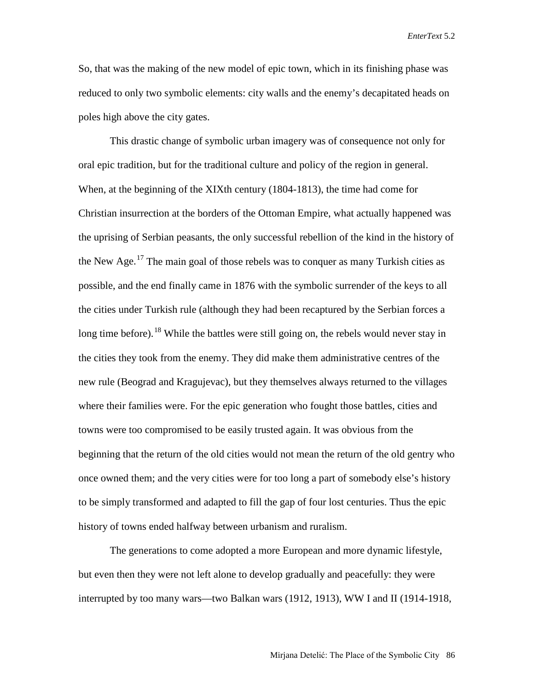So, that was the making of the new model of epic town, which in its finishing phase was reduced to only two symbolic elements: city walls and the enemy's decapitated heads on poles high above the city gates.

This drastic change of symbolic urban imagery was of consequence not only for oral epic tradition, but for the traditional culture and policy of the region in general. When, at the beginning of the XIXth century (1804-1813), the time had come for Christian insurrection at the borders of the Ottoman Empire, what actually happened was the uprising of Serbian peasants, the only successful rebellion of the kind in the history of the New Age.<sup>[17](#page-11-13)</sup> The main goal of those rebels was to conquer as many Turkish cities as possible, and the end finally came in 1876 with the symbolic surrender of the keys to all the cities under Turkish rule (although they had been recaptured by the Serbian forces a long time before).<sup>[18](#page-11-14)</sup> While the battles were still going on, the rebels would never stay in the cities they took from the enemy. They did make them administrative centres of the new rule (Beograd and Kragujevac), but they themselves always returned to the villages where their families were. For the epic generation who fought those battles, cities and towns were too compromised to be easily trusted again. It was obvious from the beginning that the return of the old cities would not mean the return of the old gentry who once owned them; and the very cities were for too long a part of somebody else's history to be simply transformed and adapted to fill the gap of four lost centuries. Thus the epic history of towns ended halfway between urbanism and ruralism.

The generations to come adopted a more European and more dynamic lifestyle, but even then they were not left alone to develop gradually and peacefully: they were interrupted by too many wars—two Balkan wars (1912, 1913), WW I and II (1914-1918,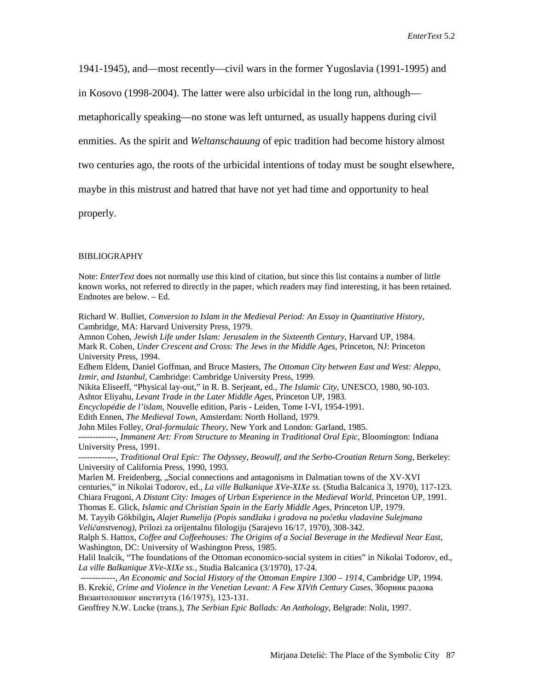1941-1945), and—most recently—civil wars in the former Yugoslavia (1991-1995) and

in Kosovo (1998-2004). The latter were also urbicidal in the long run, although—

metaphorically speaking—no stone was left unturned, as usually happens during civil

enmities. As the spirit and *Weltanschauung* of epic tradition had become history almost

two centuries ago, the roots of the urbicidal intentions of today must be sought elsewhere,

maybe in this mistrust and hatred that have not yet had time and opportunity to heal

properly.

## **BIBLIOGRAPHY**

Note: *EnterText* does not normally use this kind of citation, but since this list contains a number of little known works, not referred to directly in the paper, which readers may find interesting, it has been retained. Endnotes are below. – Ed.

Richard W. Bulliet, *Conversion to Islam in the Medieval Period: An Essay in Quantitative History,* Cambridge, MA: Harvard University Press, 1979.

Amnon Cohen, *Jewish Life under Islam: Jerusalem in the Sixteenth Century*, Harvard UP, 1984. Mark R. Cohen, *Under Crescent and Cross: The Jews in the Middle Ages*, Princeton, NJ: Princeton University Press, 1994.

Edhem Eldem, Daniel Goffman, and Bruce Masters, *The Ottoman City between East and West: Aleppo, Izmir, and Istanbul,* Cambridge: Cambridge University Press, 1999.

Nikita Eliseeff, "Physical lay-out," in R. B. Serjeant, ed., *The Islamic City*, UNESCO, 1980, 90-103. Ashtor Eliyahu, *Levant Trade in the Later Middle Ages*, Princeton UP, 1983.

*Encyclopédie de l'islam,* Nouvelle edition, Paris - Leiden, Tome I-VI, 1954-1991.

Edith Ennen, *The Medieval Town,* Amsterdam: North Holland, 1979*.*

John Miles Folley, *Oral-formulaic Theory*, New York and London: Garland, 1985.

-------------, *Immanent Art: From Structure to Meaning in Traditional Oral Epic*, Bloomington: Indiana University Press, 1991.

-------------, *Traditional Oral Epic: The Odyssey, Beowulf, and the Serbo-Croatian Return Song*, Berkeley: University of California Press, 1990, 1993.

Marlen M. Freidenberg, "Social connections and antagonisms in Dalmatian towns of the XV-XVI centuries," in Nikolai Todorov, ed., *La ville Balkanique XVe-XIXe ss*. (Studia Balcanica 3, 1970), 117-123. Chiara Frugoni, *A Distant City: Images of Urban Experience in the Medieval World*, Princeton UP, 1991. Thomas E. Glick, *Islamic and Christian Spain in the Early Middle Ages*, Princeton UP, 1979.

M. Tayyib Gökbilgin**,** *Alajet Rumelija (Popis sandžaka i gradova na početku vladavine Sulejmana* 

*Veličanstvenog),* Prilozi za orijentalnu filologiju (Sarajevo 16/17, 1970), 308-342.

Ralph S. Hattox, *Coffee and Coffeehouses: The Origins of a Social Beverage in the Medieval Near East*, Washington, DC: University of Washington Press, 1985.

Halil Inalcik, "The foundations of the Ottoman economico-social system in cities" in Nikolai Todorov, ed., *La ville Balkanique XVe-XIXe ss.*, Studia Balcanica (3/1970), 17-24.

*------------, An Economic and Social History of the Ottoman Empire 1300 – 1914*, Cambridge UP, 1994. B. Krekić, *Crime and Violence in the Venetian Levant: A Few XIVth Century Cases*, Зборник радова Византолошког института (16/1975), 123-131.

Geoffrey N.W. Locke (trans.), *The Serbian Epic Ballads: An Anthology*, Belgrade: Nolit, 1997.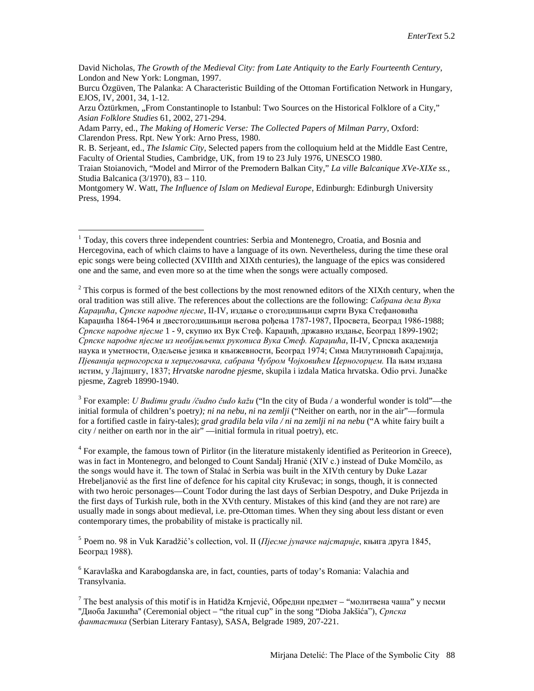Adam Parry, ed., *The Making of Homeric Verse: The Collected Papers of Milman Parry,* Oxford: Clarendon Press. Rpt. New York: Arno Press, 1980.

<span id="page-10-1"></span> $2$  This corpus is formed of the best collections by the most renowned editors of the XIXth century, when the oral tradition was still alive. The references about the collections are the following: *Сабрана дела Вука Караџића*, *Српске народне пјесме*, II-IV, издање о стогодишњици смрти Вука Стефановића Караџића 1864-1964 и двестогодишњици његова рођења 1787-1987, Просвета, Београд 1986-1988; *Српске народне пјесме* 1 - 9, скупио их Вук Стеф. Караџић, државно издање, Београд 1899-1902; *Српске народне пјесме из необјављених рукописа Вука Стеф. Караџића*, II-IV, Српска академија наука и уметности, Одељење језика и књижевности, Београд 1974; Сима Милутиновић Сарајлија, *Пјеванија церногорска и херцеговачка, сабрана Чубром Чојковићем Церногорцем.* Па њим издана истим, у Лајпцигу, 1837; *Hrvatske narodne pjesme*, skupila i izdala Matica hrvatska. Odio prvi. Junačke pjesme, Zagreb 18990-1940.

<span id="page-10-2"></span><sup>3</sup> For example: *U Budimu gradu /čudno čudo kažu* ("In the city of Buda / a wonderful wonder is told"—the initial formula of children's poetry*); ni na nebu, ni na zemlji* ("Neither on earth, nor in the air"—formula for a fortified castle in fairy-tales); *grad gradila bela vila / ni na zemlji ni na nebu* ("A white fairy built a city / neither on earth nor in the air" —initial formula in ritual poetry), etc.

 $<sup>4</sup>$  For example, the famous town of Pirlitor (in the literature mistakenly identified as Periteorion in Greece),</sup> was in fact in Montenegro, and belonged to Count Sandalj Hranić (XIV c.) instead of Duke Momčilo, as the songs would have it. The town of Stalać in Serbia was built in the XIVth century by Duke Lazar Hrebeljanović as the first line of defence for his capital city Kruševac; in songs, though, it is connected with two heroic personages—Count Todor during the last days of Serbian Despotry, and Duke Prijezda in the first days of Turkish rule, both in the XVth century. Mistakes of this kind (and they are not rare) are usually made in songs about medieval, i.e. pre-Ottoman times. When they sing about less distant or even contemporary times, the probability of mistake is practically nil.

<sup>5</sup> Poem no. 98 in Vuk Karadžić's collection, vol. II (*Пјесме јуначке најстарије*, књига друга 1845, Београд 1988).

<sup>6</sup> Karavlaška and Karabogdanska are, in fact, counties, parts of today's Romania: Valachia and Transylvania.

 $7$  The best analysis of this motif is in Hatidža Krnjević, Обредни предмет – "молитвена чаша" у песми ''Диоба Јакшића'' (Ceremonial object – "the ritual cup" in the song "Dioba Jakšića"), *Српска фантастика* (Serbian Literary Fantasy), SASA, Belgrade 1989, 207-221.

David Nicholas, *The Growth of the Medieval City: from Late Antiquity to the Early Fourteenth Century*, London and New York: Longman, 1997.

Burcu Özgüven, The Palanka: A Characteristic Building of the Ottoman Fortification Network in Hungary, EJOS, IV, 2001, 34, 1-12.

Arzu Öztürkmen, "From Constantinople to Istanbul: Two Sources on the Historical Folklore of a City," *Asian Folklore Studies* 61, 2002, 271-294.

R. B. Serjeant, ed., *The Islamic City*, Selected papers from the colloquium held at the Middle East Centre, Faculty of Oriental Studies, Cambridge, UK, from 19 to 23 July 1976, UNESCO 1980.

Traian Stoianovich, "Model and Mirror of the Premodern Balkan City," *La ville Balcanique XVe-XIXe ss.,*  Studia Balcanica (3/1970), 83 – 110.

Montgomery W. Watt, *The Influence of Islam on Medieval Europe*, Edinburgh: Edinburgh University Press, 1994.

<span id="page-10-0"></span><sup>&</sup>lt;sup>1</sup> Today, this covers three independent countries: Serbia and Montenegro, Croatia, and Bosnia and Hercegovina, each of which claims to have a language of its own. Nevertheless, during the time these oral epic songs were being collected (XVIIIth and XIXth centuries), the language of the epics was considered one and the same, and even more so at the time when the songs were actually composed.